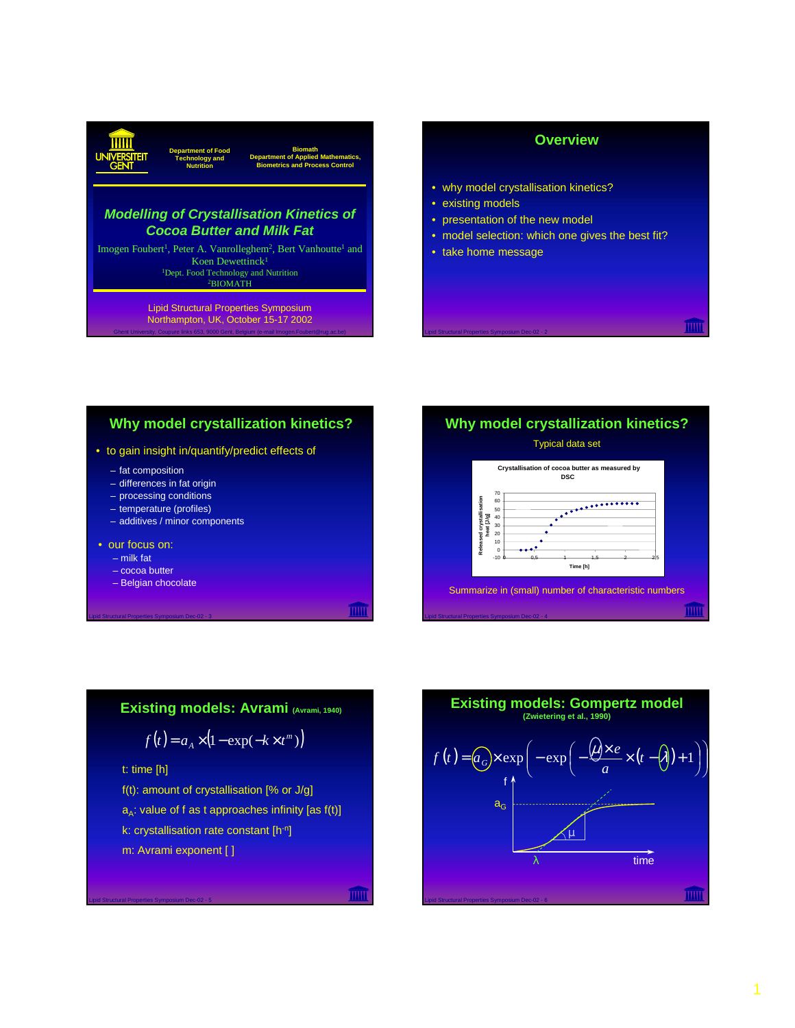#### **Biomath Department of Applied Mathematics, Biometrics and Process Control Department of Food Technology and Nutrition**

# *Modelling of Crystallisation Kinetics of Cocoa Butter and Milk Fat*

Imogen Foubert<sup>1</sup>, Peter A. Vanrolleghem<sup>2</sup>, Bert Vanhoutte<sup>1</sup> and Koen Dewettinck<sup>1</sup> <sup>1</sup>Dept. Food Technology and Nutrition 2BIOMATH

Ghent University, Coupure links 653, 9000 Gent, Belgium (e-mail Imogen.Foubert@rug.ac.be) Lipid Structural Properties Symposium Northampton, UK, October 15-17 2002

# **Overview**

- why model crystallisation kinetics?
- existing models
- presentation of the new model
- model selection: which one gives the best fit?
- take home message

Lipid Structural Properties Symposium Dec-02 - 2

# **Why model crystallization kinetics?**

#### • to gain insight in/quantify/predict effects of

- fat composition
- differences in fat origin
- processing conditions
- temperature (profiles)
- additives / minor components
- our focus on:
	- milk fat
	- cocoa butter

Lipid Structural Properties Symposium Dec-02 - 3

– Belgian chocolate



# **Existing models: Avrami (Avrami, 1940)**

$$
f(t) = a_A \times (1 - \exp(-k \times t^m))
$$

t: time [h]

Lipid Structural Properties Symposium Dec-02 - 5

f(t): amount of crystallisation [% or J/g]  $a_A$ : value of f as t approaches infinity [as  $f(t)$ ] k: crystallisation rate constant [h-n] m: Avrami exponent [ ]

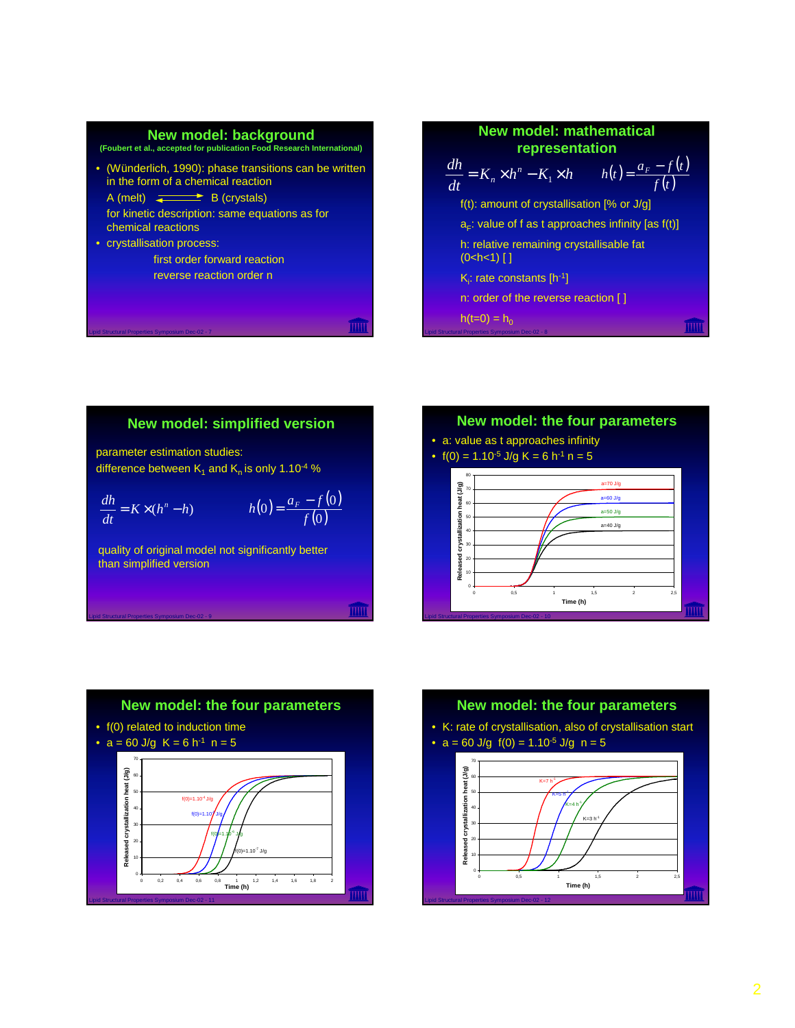#### **New model: background (Foubert et al., accepted for publication Food Research International)**

- (Wünderlich, 1990): phase transitions can be written in the form of a chemical reaction  $A$  (melt)  $\leftarrow$  B (crystals) for kinetic description: same equations as for
- chemical reactions • crystallisation process:

Lipid Structural Properties Symposium Dec-02 - 7

Lipid Structural Properties Symposium Dec-02 - 9

first order forward reaction reverse reaction order n

**New model: mathematical representation**  $K_n \times h^n - K_1 \times h$  $\frac{dh}{dt} = K_n \times h^n - K_1 \times h$   $h(t) = \frac{a_F - f(t)}{f(t)}$  $f(t)$  $h(t) = \frac{a_F - f(t)}{f(t)}$ 

f(t): amount of crystallisation [% or J/g]  $a<sub>F</sub>$ : value of f as t approaches infinity [as f(t)] h: relative remaining crystallisable fat  $(0 < h < 1)$  [ ]  $K_i$ : rate constants [h<sup>-1</sup>] n: order of the reverse reaction [ ]  $h(t=0) = h_0$ 

# **New model: simplified version**

parameter estimation studies: difference between  $K_1$  and  $K_n$  is only 1.10<sup>-4</sup> %

$$
\frac{dh}{dt} = K \times (h^n - h) \qquad h(0) = \frac{a_F - f(0)}{f(0)}
$$

quality of original model not significantly better than simplified version

# **New model: the four parameters**

- a: value as t approaches infinity
- $f(0) = 1.10^{-5}$  J/g K = 6 h<sup>-1</sup> n = 5

Lipid Structural Properties Symposium Dec-02 - 8





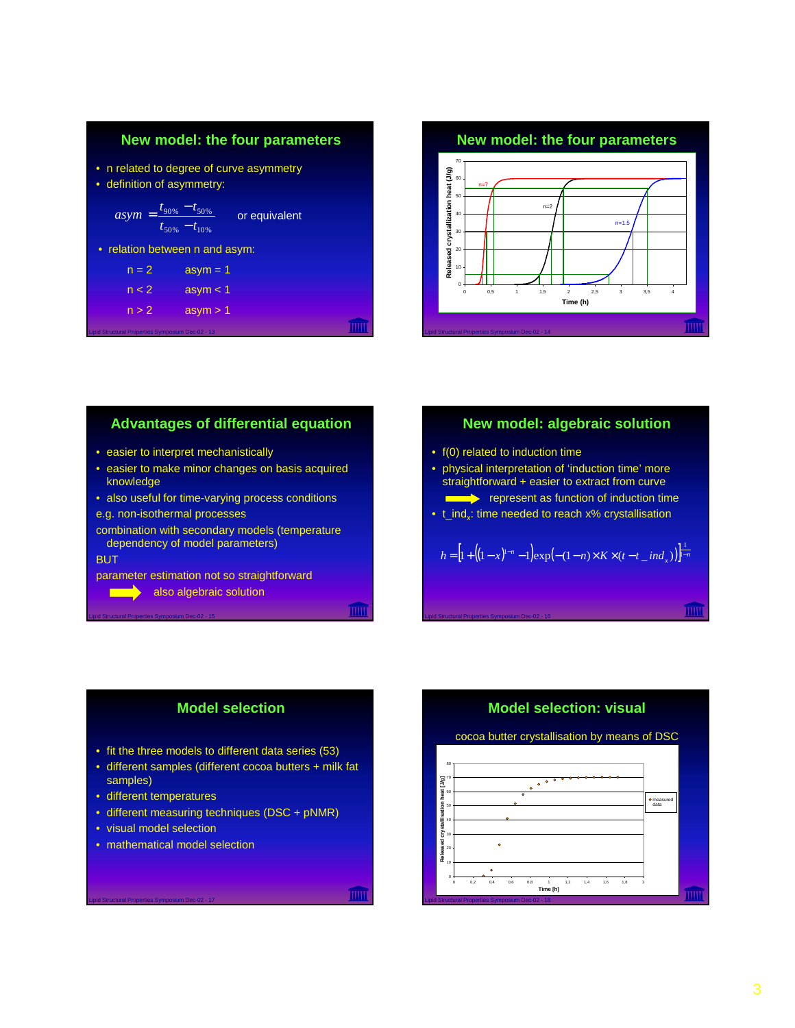



# **Advantages of differential equation**

- easier to interpret mechanistically
- easier to make minor changes on basis acquired knowledge
- also useful for time-varying process conditions

#### e.g. non-isothermal processes

Lipid Structural Properties Symposium Dec-02 - 15

combination with secondary models (temperature dependency of model parameters)

#### **BUT**

- parameter estimation not so straightforward
	- also algebraic solution

# **New model: algebraic solution**

•  $f(0)$  related to induction time

Lipid Structural Properties Symposium Dec-02 - 16

- physical interpretation of 'induction time' more straightforward + easier to extract from curve **EXECUTE:** represent as function of induction time
- $\bullet$  t\_ind,: time needed to reach x% crystallisation

# $h = \left[ 1 + \left( (1-x)^{1-n} - 1 \right) \exp(-(1-n) \times K \times (t-t \text{ and } x)) \right]^{\frac{1}{1-n}}$



- fit the three models to different data series (53)
- different samples (different cocoa butters + milk fat samples)
- different temperatures
- different measuring techniques (DSC + pNMR)
- visual model selection

Lipid Structural Properties Symposium Dec-02 - 17

• mathematical model selection

# **Model selection: visual**

### cocoa butter crystallisation by means of DSC

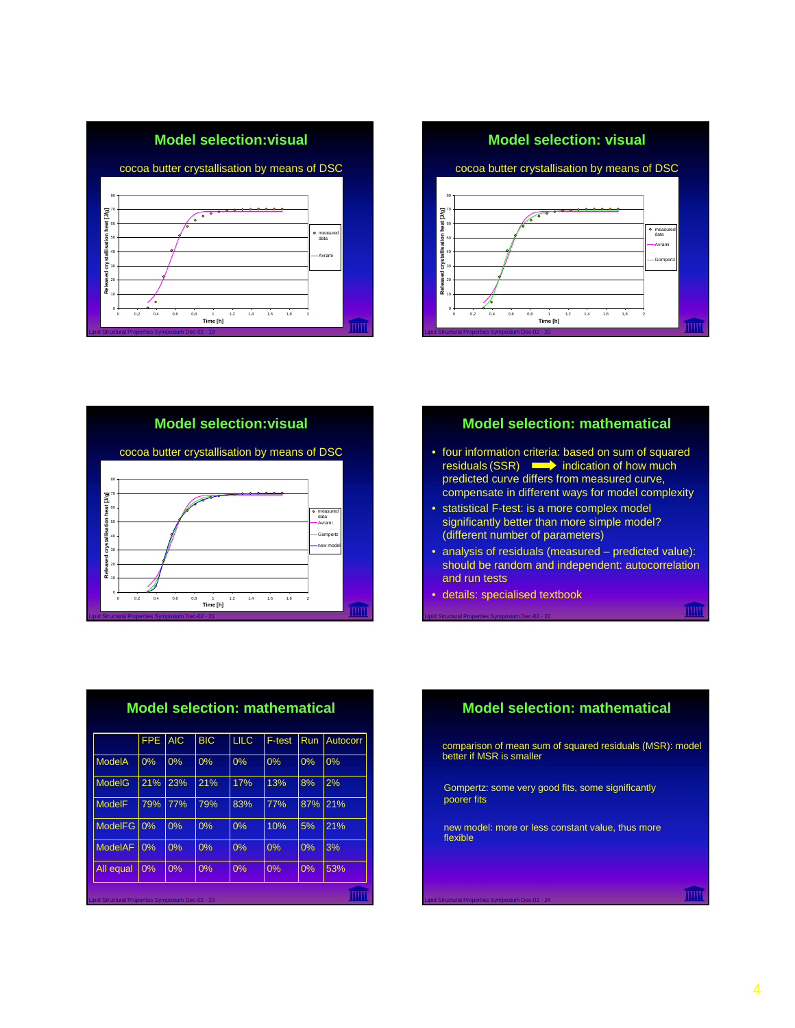



**Model selection:visual**



**Model selection: mathematical**

- four information criteria: based on sum of squared residuals  $(SSR) \longrightarrow$  indication of how much predicted curve differs from measured curve, compensate in different ways for model complexity
- statistical F-test: is a more complex model significantly better than more simple model? (different number of parameters)
- analysis of residuals (measured predicted value): should be random and independent: autocorrelation and run tests

• details: specialised textbook

Lipid Structural Properties Symposium Dec-02 - 22

Lipid Structural Properties Symposium Dec-02 - 24

| <b>Model selection: mathematical</b>              |            |            |            |             |        |     |          |  |
|---------------------------------------------------|------------|------------|------------|-------------|--------|-----|----------|--|
|                                                   | <b>FPE</b> | <b>AIC</b> | <b>BIC</b> | <b>LILC</b> | F-test | Run | Autocorr |  |
| <b>ModelA</b>                                     | 0%         | 0%         | 0%         | 0%          | 0%     | 0%  | 0%       |  |
| <b>ModelG</b>                                     | 21%        | 23%        | 21%        | 17%         | 13%    | 8%  | 2%       |  |
| <b>ModelF</b>                                     | 79%        | 77%        | 79%        | 83%         | 77%    | 87% | 21%      |  |
| <b>ModelFG</b>                                    | 0%         | 0%         | 0%         | 0%          | 10%    | 5%  | 21%      |  |
| <b>ModelAF</b>                                    | 0%         | 0%         | 0%         | 0%          | 0%     | 0%  | 3%       |  |
| All equal                                         | 0%         | 0%         | 0%         | 0%          | 0%     | 0%  | 53%      |  |
| Lipid Structural Properties Symposium Dec-02 - 23 |            |            |            |             |        |     |          |  |

# **Model selection: mathematical**

comparison of mean sum of squared residuals (MSR): model better if MSR is smaller

Gompertz: some very good fits, some significantly poorer fits

new model: more or less constant value, thus more flexible

4